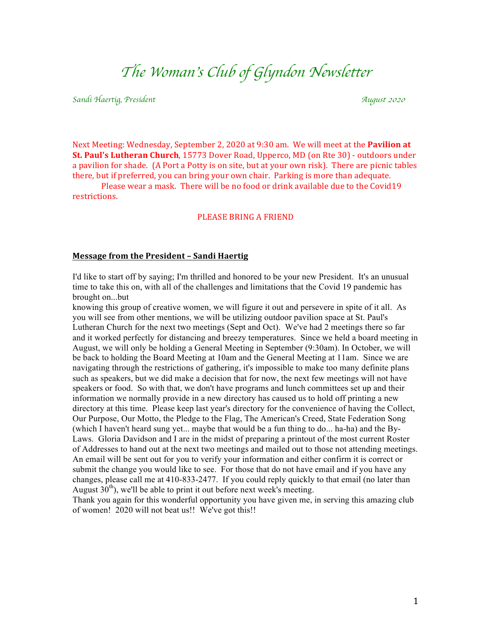# *The Woman*'*s Club of Glyndon Newsletter*

*Sandi Haertig, President August <sup>2020</sup>*

Next Meeting: Wednesday, September 2, 2020 at 9:30 am. We will meet at the **Pavilion at St. Paul's Lutheran Church**, 15773 Dover Road, Upperco, MD (on Rte 30) - outdoors under a pavilion for shade. (A Port a Potty is on site, but at your own risk). There are picnic tables there, but if preferred, you can bring your own chair. Parking is more than adequate.

Please wear a mask. There will be no food or drink available due to the Covid19 restrictions. 

#### PLEASE BRING A FRIEND

#### **Message from the President – Sandi Haertig**

I'd like to start off by saying; I'm thrilled and honored to be your new President. It's an unusual time to take this on, with all of the challenges and limitations that the Covid 19 pandemic has brought on...but

knowing this group of creative women, we will figure it out and persevere in spite of it all. As you will see from other mentions, we will be utilizing outdoor pavilion space at St. Paul's Lutheran Church for the next two meetings (Sept and Oct). We've had 2 meetings there so far and it worked perfectly for distancing and breezy temperatures. Since we held a board meeting in August, we will only be holding a General Meeting in September (9:30am). In October, we will be back to holding the Board Meeting at 10am and the General Meeting at 11am. Since we are navigating through the restrictions of gathering, it's impossible to make too many definite plans such as speakers, but we did make a decision that for now, the next few meetings will not have speakers or food. So with that, we don't have programs and lunch committees set up and their information we normally provide in a new directory has caused us to hold off printing a new directory at this time. Please keep last year's directory for the convenience of having the Collect, Our Purpose, Our Motto, the Pledge to the Flag, The American's Creed, State Federation Song (which I haven't heard sung yet... maybe that would be a fun thing to do... ha-ha) and the By-Laws. Gloria Davidson and I are in the midst of preparing a printout of the most current Roster of Addresses to hand out at the next two meetings and mailed out to those not attending meetings. An email will be sent out for you to verify your information and either confirm it is correct or submit the change you would like to see. For those that do not have email and if you have any changes, please call me at 410-833-2477. If you could reply quickly to that email (no later than August  $30<sup>th</sup>$ , we'll be able to print it out before next week's meeting.

Thank you again for this wonderful opportunity you have given me, in serving this amazing club of women! 2020 will not beat us!! We've got this!!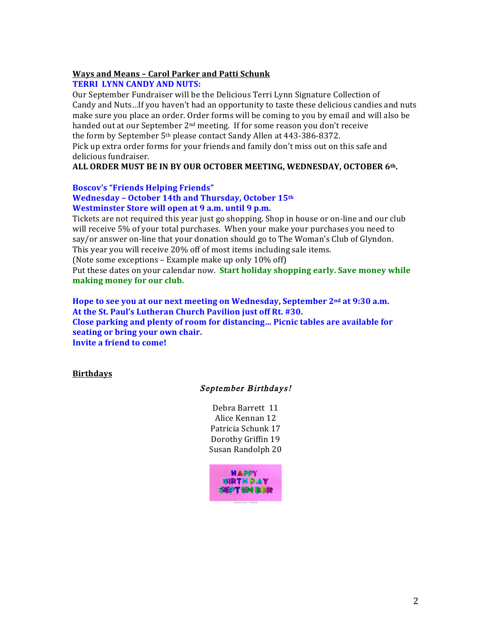## **Ways and Means - Carol Parker and Patti Schunk**

# **TERRI LYNN CANDY AND NUTS:**

Our September Fundraiser will be the Delicious Terri Lynn Signature Collection of Candy and Nuts...If you haven't had an opportunity to taste these delicious candies and nuts make sure you place an order. Order forms will be coming to you by email and will also be handed out at our September 2<sup>nd</sup> meeting. If for some reason you don't receive the form by September  $5<sup>th</sup>$  please contact Sandy Allen at 443-386-8372.

Pick up extra order forms for your friends and family don't miss out on this safe and delicious fundraiser.

## ALL ORDER MUST BE IN BY OUR OCTOBER MEETING, WEDNESDAY, OCTOBER 6<sup>th</sup>.

### **Boscov's "Friends Helping Friends"**

## **Wednesday – October 14th and Thursday, October 15th Westminster Store will open at 9 a.m. until 9 p.m.**

Tickets are not required this year just go shopping. Shop in house or on-line and our club will receive 5% of your total purchases. When your make your purchases you need to say/or answer on-line that your donation should go to The Woman's Club of Glyndon. This vear you will receive 20% off of most items including sale items.

(Note some exceptions – Example make up only  $10\%$  off)

Put these dates on your calendar now. **Start holiday shopping early. Save money while** making money for our club.

Hope to see you at our next meeting on Wednesday, September 2<sup>nd</sup> at 9:30 a.m. At the St. Paul's Lutheran Church Pavilion just off Rt. #30. **Close parking and plenty of room for distancing... Picnic tables are available for seating or bring your own chair. Invite a friend to come!** 

### **Birthdays**

# September Birthdays!

Debra Barrett 11 Alice Kennan 12 Patricia Schunk 17 Dorothy Griffin 19 Susan Randolph 20

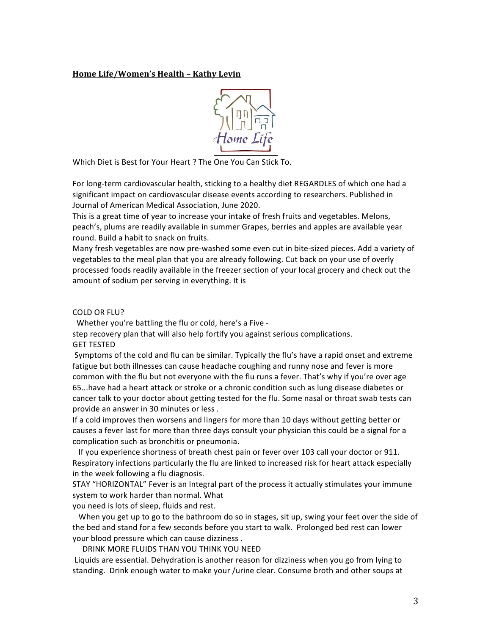#### **Home Life/Women's Health – Kathy Levin**



Which Diet is Best for Your Heart ? The One You Can Stick To.

For long-term cardiovascular health, sticking to a healthy diet REGARDLES of which one had a significant impact on cardiovascular disease events according to researchers. Published in Journal of American Medical Association, June 2020.

This is a great time of year to increase your intake of fresh fruits and vegetables. Melons, peach's, plums are readily available in summer Grapes, berries and apples are available year round. Build a habit to snack on fruits.

Many fresh vegetables are now pre-washed some even cut in bite-sized pieces. Add a variety of vegetables to the meal plan that you are already following. Cut back on your use of overly processed foods readily available in the freezer section of your local grocery and check out the amount of sodium per serving in everything. It is

#### COLD OR FLU?

Whether you're battling the flu or cold, here's a Five -

step recovery plan that will also help fortify you against serious complications.

**GET TESTED** 

Symptoms of the cold and flu can be similar. Typically the flu's have a rapid onset and extreme fatigue but both illnesses can cause headache coughing and runny nose and fever is more common with the flu but not everyone with the flu runs a fever. That's why if you're over age 65...have had a heart attack or stroke or a chronic condition such as lung disease diabetes or cancer talk to your doctor about getting tested for the flu. Some nasal or throat swab tests can provide an answer in 30 minutes or less.

If a cold improves then worsens and lingers for more than 10 days without getting better or causes a fever last for more than three days consult your physician this could be a signal for a complication such as bronchitis or pneumonia.

If you experience shortness of breath chest pain or fever over 103 call your doctor or 911. Respiratory infections particularly the flu are linked to increased risk for heart attack especially in the week following a flu diagnosis.

STAY "HORIZONTAL" Fever is an Integral part of the process it actually stimulates your immune system to work harder than normal. What

you need is lots of sleep, fluids and rest.

When you get up to go to the bathroom do so in stages, sit up, swing your feet over the side of the bed and stand for a few seconds before you start to walk. Prolonged bed rest can lower your blood pressure which can cause dizziness.

DRINK MORE FLUIDS THAN YOU THINK YOU NEED

Liquids are essential. Dehydration is another reason for dizziness when you go from lying to standing. Drink enough water to make your /urine clear. Consume broth and other soups at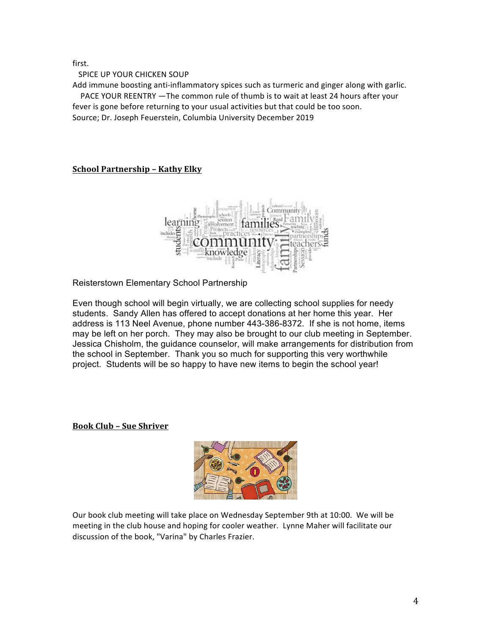first.

SPICE UP YOUR CHICKEN SOUP

Add immune boosting anti-inflammatory spices such as turmeric and ginger along with garlic. PACE YOUR REENTRY —The common rule of thumb is to wait at least 24 hours after your

fever is gone before returning to your usual activities but that could be too soon.

Source; Dr. Joseph Feuerstein, Columbia University December 2019

# **School Partnership - Kathy Elky**



Reisterstown Elementary School Partnership

Even though school will begin virtually, we are collecting school supplies for needy students. Sandy Allen has offered to accept donations at her home this year. Her address is 113 Neel Avenue, phone number 443-386-8372. If she is not home, items may be left on her porch. They may also be brought to our club meeting in September. Jessica Chisholm, the guidance counselor, will make arrangements for distribution from the school in September. Thank you so much for supporting this very worthwhile project. Students will be so happy to have new items to begin the school year!

# **Book Club – Sue Shriver**



Our book club meeting will take place on Wednesday September 9th at 10:00. We will be meeting in the club house and hoping for cooler weather. Lynne Maher will facilitate our discussion of the book, "Varina" by Charles Frazier.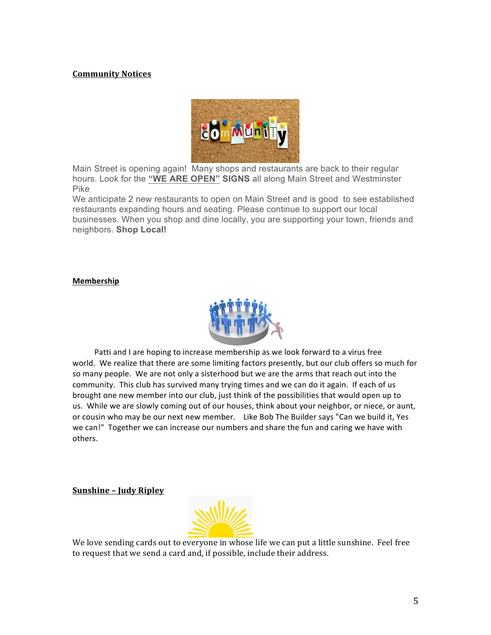## **Community Notices**



Main Street is opening again! Many shops and restaurants are back to their regular hours. Look for the **"WE ARE OPEN" SIGNS** all along Main Street and Westminster Pike

We anticipate 2 new restaurants to open on Main Street and is good to see established restaurants expanding hours and seating. Please continue to support our local businesses. When you shop and dine locally, you are supporting your town, friends and neighbors. **Shop Local!**

#### **Membership**



Patti and I are hoping to increase membership as we look forward to a virus free world. We realize that there are some limiting factors presently, but our club offers so much for so many people. We are not only a sisterhood but we are the arms that reach out into the community. This club has survived many trying times and we can do it again. If each of us brought one new member into our club, just think of the possibilities that would open up to us. While we are slowly coming out of our houses, think about your neighbor, or niece, or aunt, or cousin who may be our next new member. Like Bob The Builder says "Can we build it, Yes we can!" Together we can increase our numbers and share the fun and caring we have with others.

**Sunshine – Judy Ripley**



We love sending cards out to everyone in whose life we can put a little sunshine. Feel free to request that we send a card and, if possible, include their address.